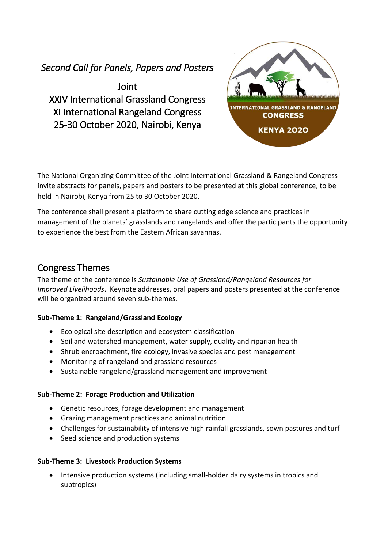## *Second Call for Panels, Papers and Posters*

Joint XXIV International Grassland Congress XI International Rangeland Congress 25-30 October 2020, Nairobi, Kenya



The National Organizing Committee of the Joint International Grassland & Rangeland Congress invite abstracts for panels, papers and posters to be presented at this global conference, to be held in Nairobi, Kenya from 25 to 30 October 2020.

The conference shall present a platform to share cutting edge science and practices in management of the planets' grasslands and rangelands and offer the participants the opportunity to experience the best from the Eastern African savannas.

### Congress Themes

The theme of the conference is *Sustainable Use of Grassland/Rangeland Resources for Improved Livelihoods*. Keynote addresses, oral papers and posters presented at the conference will be organized around seven sub-themes.

### **Sub-Theme 1: Rangeland/Grassland Ecology**

- Ecological site description and ecosystem classification
- Soil and watershed management, water supply, quality and riparian health
- Shrub encroachment, fire ecology, invasive species and pest management
- Monitoring of rangeland and grassland resources
- Sustainable rangeland/grassland management and improvement

### **Sub-Theme 2: Forage Production and Utilization**

- Genetic resources, forage development and management
- Grazing management practices and animal nutrition
- Challenges for sustainability of intensive high rainfall grasslands, sown pastures and turf
- Seed science and production systems

### **Sub-Theme 3: Livestock Production Systems**

• Intensive production systems (including small-holder dairy systems in tropics and subtropics)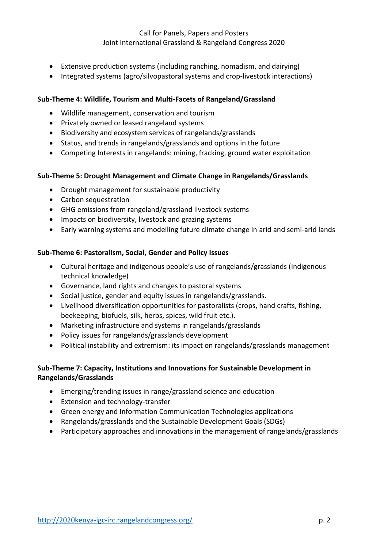- Extensive production systems (including ranching, nomadism, and dairying)
- Integrated systems (agro/silvopastoral systems and crop-livestock interactions)

### **Sub-Theme 4: Wildlife, Tourism and Multi-Facets of Rangeland/Grassland**

- Wildlife management, conservation and tourism
- Privately owned or leased rangeland systems
- Biodiversity and ecosystem services of rangelands/grasslands
- Status, and trends in rangelands/grasslands and options in the future
- Competing Interests in rangelands: mining, fracking, ground water exploitation

#### **Sub-Theme 5: Drought Management and Climate Change in Rangelands/Grasslands**

- Drought management for sustainable productivity
- Carbon sequestration
- GHG emissions from rangeland/grassland livestock systems
- Impacts on biodiversity, livestock and grazing systems
- Early warning systems and modelling future climate change in arid and semi-arid lands

#### **Sub-Theme 6: Pastoralism, Social, Gender and Policy Issues**

- Cultural heritage and indigenous people's use of rangelands/grasslands (indigenous technical knowledge)
- Governance, land rights and changes to pastoral systems
- Social justice, gender and equity issues in rangelands/grasslands.
- Livelihood diversification opportunities for pastoralists (crops, hand crafts, fishing, beekeeping, biofuels, silk, herbs, spices, wild fruit etc.).
- Marketing infrastructure and systems in rangelands/grasslands
- Policy issues for rangelands/grasslands development
- Political instability and extremism: its impact on rangelands/grasslands management

### **Sub-Theme 7: Capacity, Institutions and Innovations for Sustainable Development in Rangelands/Grasslands**

- Emerging/trending issues in range/grassland science and education
- Extension and technology-transfer
- Green energy and Information Communication Technologies applications
- Rangelands/grasslands and the Sustainable Development Goals (SDGs)
- Participatory approaches and innovations in the management of rangelands/grasslands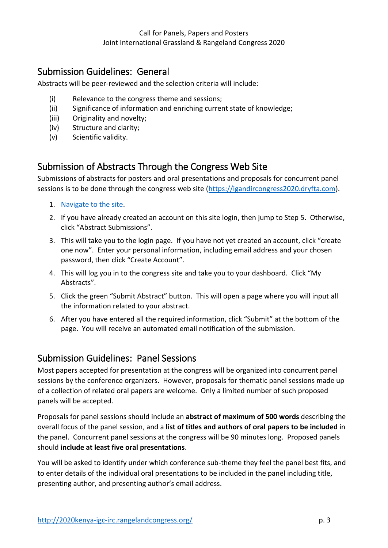## Submission Guidelines: General

Abstracts will be peer-reviewed and the selection criteria will include:

- (i) Relevance to the congress theme and sessions;
- (ii) Significance of information and enriching current state of knowledge;
- (iii) Originality and novelty;
- (iv) Structure and clarity;
- (v) Scientific validity.

# Submission of Abstracts Through the Congress Web Site

Submissions of abstracts for posters and oral presentations and proposals for concurrent panel sessions is to be done through the congress web site [\(https://igandircongress2020.dryfta.com\)](https://igandircongress2020.dryfta.com/).

- 1. [Navigate to the site.](https://igandircongress2020.dryfta.com/)
- 2. If you have already created an account on this site login, then jump to Step 5. Otherwise, click "Abstract Submissions".
- 3. This will take you to the login page. If you have not yet created an account, click "create one now". Enter your personal information, including email address and your chosen password, then click "Create Account".
- 4. This will log you in to the congress site and take you to your dashboard. Click "My Abstracts".
- 5. Click the green "Submit Abstract" button. This will open a page where you will input all the information related to your abstract.
- 6. After you have entered all the required information, click "Submit" at the bottom of the page. You will receive an automated email notification of the submission.

## Submission Guidelines: Panel Sessions

Most papers accepted for presentation at the congress will be organized into concurrent panel sessions by the conference organizers. However, proposals for thematic panel sessions made up of a collection of related oral papers are welcome. Only a limited number of such proposed panels will be accepted.

Proposals for panel sessions should include an **abstract of maximum of 500 words** describing the overall focus of the panel session, and a **list of titles and authors of oral papers to be included** in the panel. Concurrent panel sessions at the congress will be 90 minutes long. Proposed panels should **include at least five oral presentations**.

You will be asked to identify under which conference sub-theme they feel the panel best fits, and to enter details of the individual oral presentations to be included in the panel including title, presenting author, and presenting author's email address.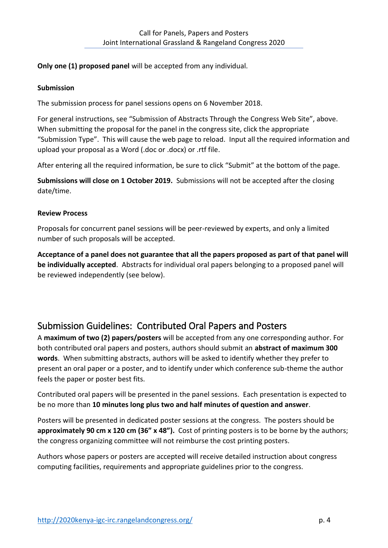### **Only one (1) proposed panel** will be accepted from any individual.

### **Submission**

The submission process for panel sessions opens on 6 November 2018.

For general instructions, see "Submission of Abstracts Through the Congress Web Site", above. When submitting the proposal for the panel in the congress site, click the appropriate "Submission Type". This will cause the web page to reload. Input all the required information and upload your proposal as a Word (.doc or .docx) or .rtf file.

After entering all the required information, be sure to click "Submit" at the bottom of the page.

**Submissions will close on 1 October 2019.** Submissions will not be accepted after the closing date/time.

### **Review Process**

Proposals for concurrent panel sessions will be peer-reviewed by experts, and only a limited number of such proposals will be accepted.

**Acceptance of a panel does not guarantee that all the papers proposed as part of that panel will be individually accepted**. Abstracts for individual oral papers belonging to a proposed panel will be reviewed independently (see below).

## Submission Guidelines: Contributed Oral Papers and Posters

A **maximum of two (2) papers/posters** will be accepted from any one corresponding author. For both contributed oral papers and posters, authors should submit an **abstract of maximum 300 words**. When submitting abstracts, authors will be asked to identify whether they prefer to present an oral paper or a poster, and to identify under which conference sub-theme the author feels the paper or poster best fits.

Contributed oral papers will be presented in the panel sessions. Each presentation is expected to be no more than **10 minutes long plus two and half minutes of question and answer**.

Posters will be presented in dedicated poster sessions at the congress. The posters should be **approximately 90 cm x 120 cm (36" x 48").** Cost of printing posters is to be borne by the authors; the congress organizing committee will not reimburse the cost printing posters.

Authors whose papers or posters are accepted will receive detailed instruction about congress computing facilities, requirements and appropriate guidelines prior to the congress.